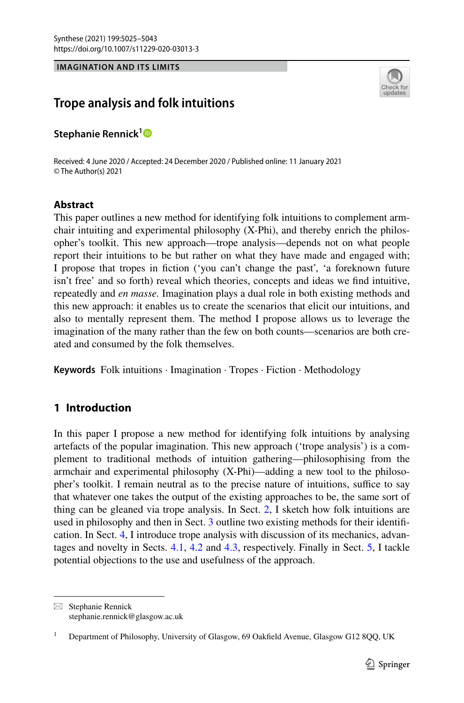**IMAGINATION AND ITS LIMITS**



# **Trope analysis and folk intuitions**

**Stephanie Rennick[1](http://orcid.org/0000-0002-3524-8044)**

Received: 4 June 2020 / Accepted: 24 December 2020 / Published online: 11 January 2021 © The Author(s) 2021

# **Abstract**

This paper outlines a new method for identifying folk intuitions to complement armchair intuiting and experimental philosophy (X-Phi), and thereby enrich the philosopher's toolkit. This new approach—trope analysis—depends not on what people report their intuitions to be but rather on what they have made and engaged with; I propose that tropes in fction ('you can't change the past', 'a foreknown future isn't free' and so forth) reveal which theories, concepts and ideas we fnd intuitive, repeatedly and *en masse.* Imagination plays a dual role in both existing methods and this new approach: it enables us to create the scenarios that elicit our intuitions, and also to mentally represent them. The method I propose allows us to leverage the imagination of the many rather than the few on both counts—scenarios are both created and consumed by the folk themselves.

**Keywords** Folk intuitions · Imagination · Tropes · Fiction · Methodology

# **1 Introduction**

In this paper I propose a new method for identifying folk intuitions by analysing artefacts of the popular imagination. This new approach ('trope analysis') is a complement to traditional methods of intuition gathering—philosophising from the armchair and experimental philosophy (X-Phi)—adding a new tool to the philosopher's toolkit. I remain neutral as to the precise nature of intuitions, suffice to say that whatever one takes the output of the existing approaches to be, the same sort of thing can be gleaned via trope analysis. In Sect. [2](#page-1-0), I sketch how folk intuitions are used in philosophy and then in Sect. [3](#page-2-0) outline two existing methods for their identifcation. In Sect. [4,](#page-4-0) I introduce trope analysis with discussion of its mechanics, advantages and novelty in Sects. [4.1](#page-7-0), [4.2](#page-9-0) and [4.3](#page-10-0), respectively. Finally in Sect. [5,](#page-11-0) I tackle potential objections to the use and usefulness of the approach.

 $\boxtimes$  Stephanie Rennick stephanie.rennick@glasgow.ac.uk

<sup>1</sup> Department of Philosophy, University of Glasgow, 69 Oakfeld Avenue, Glasgow G12 8QQ, UK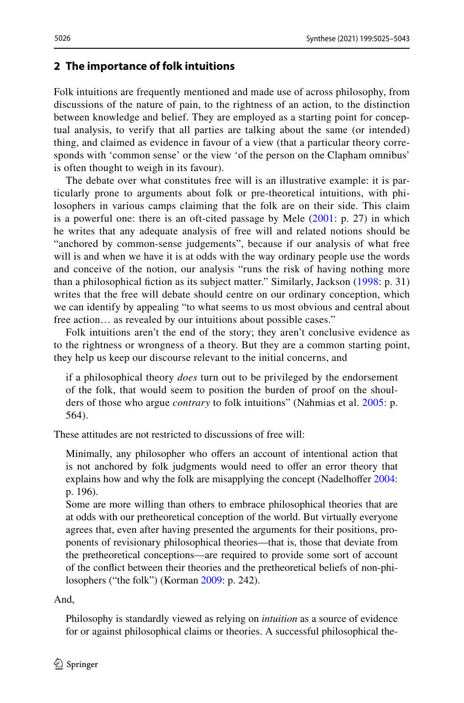### <span id="page-1-0"></span>**2 The importance of folk intuitions**

Folk intuitions are frequently mentioned and made use of across philosophy, from discussions of the nature of pain, to the rightness of an action, to the distinction between knowledge and belief. They are employed as a starting point for conceptual analysis, to verify that all parties are talking about the same (or intended) thing, and claimed as evidence in favour of a view (that a particular theory corresponds with 'common sense' or the view 'of the person on the Clapham omnibus' is often thought to weigh in its favour).

The debate over what constitutes free will is an illustrative example: it is particularly prone to arguments about folk or pre-theoretical intuitions, with philosophers in various camps claiming that the folk are on their side. This claim is a powerful one: there is an oft-cited passage by Mele ([2001:](#page-18-0) p. 27) in which he writes that any adequate analysis of free will and related notions should be "anchored by common-sense judgements", because if our analysis of what free will is and when we have it is at odds with the way ordinary people use the words and conceive of the notion, our analysis "runs the risk of having nothing more than a philosophical fiction as its subject matter." Similarly, Jackson [\(1998:](#page-17-0) p. 31) writes that the free will debate should centre on our ordinary conception, which we can identify by appealing "to what seems to us most obvious and central about free action… as revealed by our intuitions about possible cases."

Folk intuitions aren't the end of the story; they aren't conclusive evidence as to the rightness or wrongness of a theory. But they are a common starting point, they help us keep our discourse relevant to the initial concerns, and

if a philosophical theory *does* turn out to be privileged by the endorsement of the folk, that would seem to position the burden of proof on the shoulders of those who argue *contrary* to folk intuitions" (Nahmias et al. [2005:](#page-18-1) p. 564).

These attitudes are not restricted to discussions of free will:

Minimally, any philosopher who offers an account of intentional action that is not anchored by folk judgments would need to offer an error theory that explains how and why the folk are misapplying the concept (Nadelhoffer [2004](#page-18-2): p. 196).

Some are more willing than others to embrace philosophical theories that are at odds with our pretheoretical conception of the world. But virtually everyone agrees that, even after having presented the arguments for their positions, proponents of revisionary philosophical theories—that is, those that deviate from the pretheoretical conceptions—are required to provide some sort of account of the confict between their theories and the pretheoretical beliefs of non-philosophers ("the folk") (Korman [2009](#page-17-1): p. 242).

And,

Philosophy is standardly viewed as relying on *intuition* as a source of evidence for or against philosophical claims or theories. A successful philosophical the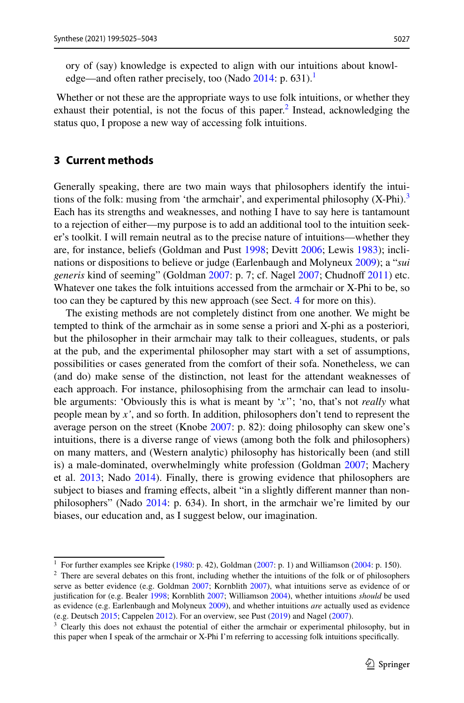ory of (say) knowledge is expected to align with our intuitions about knowl-edge—and often rather precisely, too (Nado [2014:](#page-18-3) p. 631).<sup>1</sup>

 Whether or not these are the appropriate ways to use folk intuitions, or whether they exhaust their potential, is not the focus of this paper. $<sup>2</sup>$  $<sup>2</sup>$  $<sup>2</sup>$  Instead, acknowledging the</sup> status quo, I propose a new way of accessing folk intuitions.

### <span id="page-2-0"></span>**3 Current methods**

Generally speaking, there are two main ways that philosophers identify the intuitions of the folk: musing from 'the armchair', and experimental philosophy  $(X-Phi)^3$  $(X-Phi)^3$ Each has its strengths and weaknesses, and nothing I have to say here is tantamount to a rejection of either—my purpose is to add an additional tool to the intuition seeker's toolkit. I will remain neutral as to the precise nature of intuitions—whether they are, for instance, beliefs (Goldman and Pust [1998;](#page-17-2) Devitt [2006](#page-17-3); Lewis [1983](#page-18-4)); inclinations or dispositions to believe or judge (Earlenbaugh and Molyneux [2009\)](#page-17-4); a "*sui generis* kind of seeming" (Goldman [2007:](#page-17-5) p. 7; cf. Nagel [2007;](#page-18-5) Chudnoff [2011](#page-17-6)) etc. Whatever one takes the folk intuitions accessed from the armchair or X-Phi to be, so too can they be captured by this new approach (see Sect. [4](#page-4-0) for more on this).

The existing methods are not completely distinct from one another. We might be tempted to think of the armchair as in some sense a priori and X-phi as a posteriori*,* but the philosopher in their armchair may talk to their colleagues, students, or pals at the pub, and the experimental philosopher may start with a set of assumptions, possibilities or cases generated from the comfort of their sofa. Nonetheless, we can (and do) make sense of the distinction, not least for the attendant weaknesses of each approach. For instance, philosophising from the armchair can lead to insoluble arguments: 'Obviously this is what is meant by '*x'*'; 'no, that's not *really* what people mean by *x'*, and so forth. In addition, philosophers don't tend to represent the average person on the street (Knobe [2007](#page-17-7): p. 82): doing philosophy can skew one's intuitions, there is a diverse range of views (among both the folk and philosophers) on many matters, and (Western analytic) philosophy has historically been (and still is) a male-dominated, overwhelmingly white profession (Goldman [2007](#page-17-5); Machery et al. [2013;](#page-18-6) Nado [2014\)](#page-18-3). Finally, there is growing evidence that philosophers are subject to biases and framing effects, albeit "in a slightly different manner than nonphilosophers" (Nado [2014](#page-18-3): p. 634). In short, in the armchair we're limited by our biases, our education and, as I suggest below, our imagination.

<span id="page-2-1"></span><sup>&</sup>lt;sup>1</sup> For further examples see Kripke ([1980:](#page-18-7) p. 42), Goldman [\(2007](#page-17-5): p. 1) and Williamson ([2004:](#page-18-8) p. 150).

<span id="page-2-2"></span> $2$  There are several debates on this front, including whether the intuitions of the folk or of philosophers serve as better evidence (e.g. Goldman [2007;](#page-17-5) Kornblith [2007\)](#page-18-9), what intuitions serve as evidence of or justifcation for (e.g. Bealer [1998](#page-17-8); Kornblith [2007](#page-18-9); Williamson [2004](#page-18-8)), whether intuitions *should* be used as evidence (e.g. Earlenbaugh and Molyneux [2009\)](#page-17-4), and whether intuitions *are* actually used as evidence (e.g. Deutsch [2015](#page-17-9); Cappelen [2012\)](#page-17-10). For an overview, see Pust ([2019\)](#page-18-10) and Nagel [\(2007](#page-18-5)).

<span id="page-2-3"></span><sup>&</sup>lt;sup>3</sup> Clearly this does not exhaust the potential of either the armchair or experimental philosophy, but in this paper when I speak of the armchair or X-Phi I'm referring to accessing folk intuitions specifcally.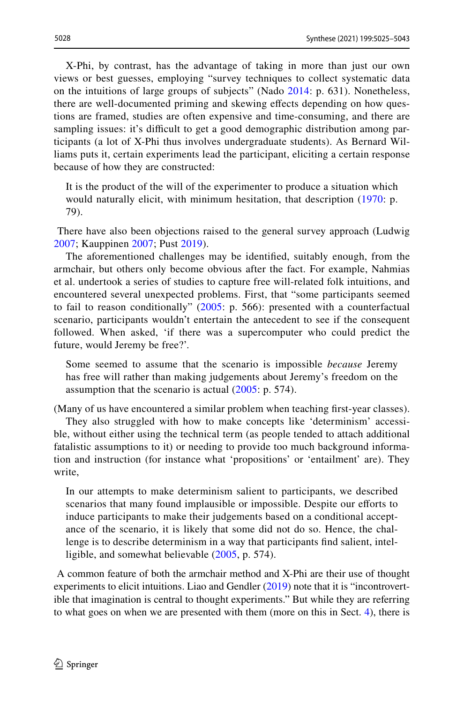X-Phi, by contrast, has the advantage of taking in more than just our own views or best guesses, employing "survey techniques to collect systematic data on the intuitions of large groups of subjects" (Nado [2014](#page-18-3): p. 631). Nonetheless, there are well-documented priming and skewing efects depending on how questions are framed, studies are often expensive and time-consuming, and there are sampling issues: it's difficult to get a good demographic distribution among participants (a lot of X-Phi thus involves undergraduate students). As Bernard Williams puts it, certain experiments lead the participant, eliciting a certain response because of how they are constructed:

It is the product of the will of the experimenter to produce a situation which would naturally elicit, with minimum hesitation, that description [\(1970:](#page-18-11) p. 79).

 There have also been objections raised to the general survey approach (Ludwig [2007;](#page-18-12) Kauppinen [2007](#page-17-11); Pust [2019\)](#page-18-10).

The aforementioned challenges may be identifed, suitably enough, from the armchair, but others only become obvious after the fact. For example, Nahmias et al. undertook a series of studies to capture free will-related folk intuitions, and encountered several unexpected problems. First, that "some participants seemed to fail to reason conditionally" ([2005:](#page-18-1) p. 566): presented with a counterfactual scenario, participants wouldn't entertain the antecedent to see if the consequent followed. When asked, 'if there was a supercomputer who could predict the future, would Jeremy be free?'.

Some seemed to assume that the scenario is impossible *because* Jeremy has free will rather than making judgements about Jeremy's freedom on the assumption that the scenario is actual  $(2005: p. 574)$  $(2005: p. 574)$ .

(Many of us have encountered a similar problem when teaching frst-year classes).

They also struggled with how to make concepts like 'determinism' accessible, without either using the technical term (as people tended to attach additional fatalistic assumptions to it) or needing to provide too much background information and instruction (for instance what 'propositions' or 'entailment' are). They write,

In our attempts to make determinism salient to participants, we described scenarios that many found implausible or impossible. Despite our efforts to induce participants to make their judgements based on a conditional acceptance of the scenario, it is likely that some did not do so. Hence, the challenge is to describe determinism in a way that participants fnd salient, intelligible, and somewhat believable ([2005,](#page-18-1) p. 574).

 A common feature of both the armchair method and X-Phi are their use of thought experiments to elicit intuitions. Liao and Gendler ([2019\)](#page-18-13) note that it is "incontrovertible that imagination is central to thought experiments." But while they are referring to what goes on when we are presented with them (more on this in Sect. [4](#page-4-0)), there is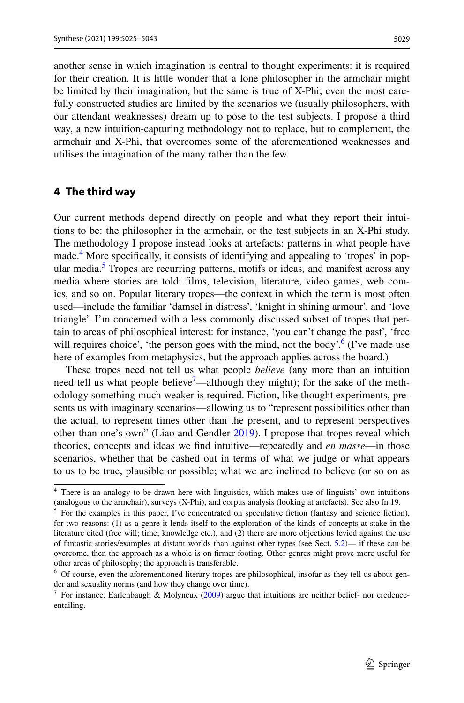another sense in which imagination is central to thought experiments: it is required for their creation. It is little wonder that a lone philosopher in the armchair might be limited by their imagination, but the same is true of X-Phi; even the most carefully constructed studies are limited by the scenarios we (usually philosophers, with our attendant weaknesses) dream up to pose to the test subjects. I propose a third way, a new intuition-capturing methodology not to replace, but to complement, the armchair and X-Phi, that overcomes some of the aforementioned weaknesses and utilises the imagination of the many rather than the few.

#### <span id="page-4-0"></span>**4 The third way**

Our current methods depend directly on people and what they report their intuitions to be: the philosopher in the armchair, or the test subjects in an X-Phi study. The methodology I propose instead looks at artefacts: patterns in what people have made.<sup>4</sup> More specifically, it consists of identifying and appealing to 'tropes' in pop-ular media.<sup>[5](#page-4-2)</sup> Tropes are recurring patterns, motifs or ideas, and manifest across any media where stories are told: flms, television, literature, video games, web comics, and so on. Popular literary tropes—the context in which the term is most often used—include the familiar 'damsel in distress', 'knight in shining armour', and 'love triangle'. I'm concerned with a less commonly discussed subset of tropes that pertain to areas of philosophical interest: for instance, 'you can't change the past', 'free will requires choice', 'the person goes with the mind, not the body'.<sup>[6](#page-4-3)</sup> (I've made use here of examples from metaphysics, but the approach applies across the board.)

These tropes need not tell us what people *believe* (any more than an intuition need tell us what people believe<sup>7</sup>—although they might); for the sake of the methodology something much weaker is required. Fiction, like thought experiments, presents us with imaginary scenarios—allowing us to "represent possibilities other than the actual, to represent times other than the present, and to represent perspectives other than one's own" (Liao and Gendler [2019](#page-18-13)). I propose that tropes reveal which theories, concepts and ideas we fnd intuitive—repeatedly and *en masse*—in those scenarios, whether that be cashed out in terms of what we judge or what appears to us to be true, plausible or possible; what we are inclined to believe (or so on as

<span id="page-4-1"></span><sup>4</sup> There is an analogy to be drawn here with linguistics, which makes use of linguists' own intuitions (analogous to the armchair), surveys (X-Phi), and corpus analysis (looking at artefacts). See also fn 19.

<span id="page-4-2"></span><sup>&</sup>lt;sup>5</sup> For the examples in this paper, I've concentrated on speculative fiction (fantasy and science fiction), for two reasons: (1) as a genre it lends itself to the exploration of the kinds of concepts at stake in the literature cited (free will; time; knowledge etc.), and (2) there are more objections levied against the use of fantastic stories/examples at distant worlds than against other types (see Sect.  $5.2$ )— if these can be overcome, then the approach as a whole is on frmer footing. Other genres might prove more useful for other areas of philosophy; the approach is transferable.

<span id="page-4-3"></span><sup>6</sup> Of course, even the aforementioned literary tropes are philosophical, insofar as they tell us about gender and sexuality norms (and how they change over time).

<span id="page-4-4"></span><sup>&</sup>lt;sup>7</sup> For instance, Earlenbaugh & Molyneux ([2009\)](#page-17-4) argue that intuitions are neither belief- nor credenceentailing.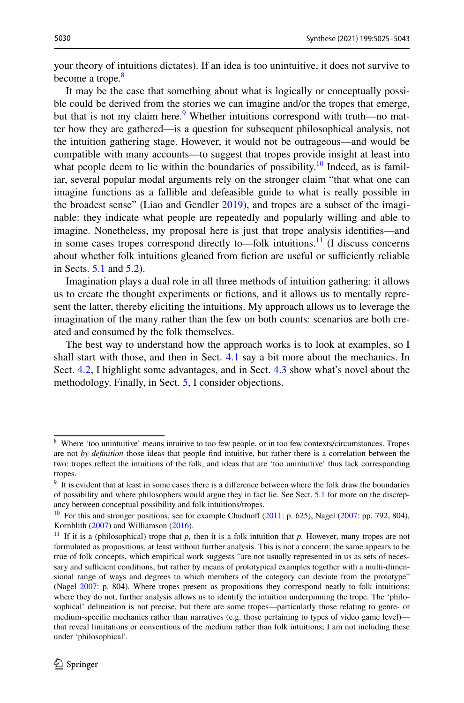your theory of intuitions dictates). If an idea is too unintuitive, it does not survive to become a trope.<sup>[8](#page-5-0)</sup>

It may be the case that something about what is logically or conceptually possible could be derived from the stories we can imagine and/or the tropes that emerge, but that is not my claim here.<sup>[9](#page-5-1)</sup> Whether intuitions correspond with truth—no matter how they are gathered—is a question for subsequent philosophical analysis, not the intuition gathering stage. However, it would not be outrageous—and would be compatible with many accounts—to suggest that tropes provide insight at least into what people deem to lie within the boundaries of possibility.<sup>10</sup> Indeed, as is familiar, several popular modal arguments rely on the stronger claim "that what one can imagine functions as a fallible and defeasible guide to what is really possible in the broadest sense" (Liao and Gendler [2019](#page-18-13)), and tropes are a subset of the imaginable: they indicate what people are repeatedly and popularly willing and able to imagine. Nonetheless, my proposal here is just that trope analysis identifes—and in some cases tropes correspond directly to—folk intuitions.<sup>[11](#page-5-3)</sup> (I discuss concerns about whether folk intuitions gleaned from fiction are useful or sufficiently reliable in Sects. [5.1](#page-11-1) and [5.2\)](#page-13-0).

Imagination plays a dual role in all three methods of intuition gathering: it allows us to create the thought experiments or fctions, and it allows us to mentally represent the latter, thereby eliciting the intuitions. My approach allows us to leverage the imagination of the many rather than the few on both counts: scenarios are both created and consumed by the folk themselves.

The best way to understand how the approach works is to look at examples, so I shall start with those, and then in Sect. [4.1](#page-7-0) say a bit more about the mechanics. In Sect. [4.2,](#page-9-0) I highlight some advantages, and in Sect. [4.3](#page-10-0) show what's novel about the methodology. Finally, in Sect. [5](#page-11-0), I consider objections.

<span id="page-5-0"></span><sup>8</sup> Where 'too unintuitive' means intuitive to too few people, or in too few contexts/circumstances. Tropes are not *by defnition* those ideas that people fnd intuitive, but rather there is a correlation between the two: tropes refect the intuitions of the folk, and ideas that are 'too unintuitive' thus lack corresponding tropes.

<span id="page-5-1"></span><sup>9</sup> It is evident that at least in some cases there is a diference between where the folk draw the boundaries of possibility and where philosophers would argue they in fact lie. See Sect. [5.1](#page-11-1) for more on the discrepancy between conceptual possibility and folk intuitions/tropes.

<span id="page-5-2"></span> $10$  For this and stronger positions, see for example Chudnoff [\(2011](#page-17-6): p. 625), Nagel ([2007:](#page-18-5) pp. 792, 804), Kornblith ([2007\)](#page-18-9) and Williamson [\(2016](#page-18-14)).

<span id="page-5-3"></span><sup>&</sup>lt;sup>11</sup> If it is a (philosophical) trope that  $p$ , then it is a folk intuition that  $p$ . However, many tropes are not formulated as propositions, at least without further analysis. This is not a concern; the same appears to be true of folk concepts, which empirical work suggests "are not usually represented in us as sets of necessary and sufficient conditions, but rather by means of prototypical examples together with a multi-dimensional range of ways and degrees to which members of the category can deviate from the prototype" (Nagel [2007:](#page-18-5) p. 804). Where tropes present as propositions they correspond neatly to folk intuitions; where they do not, further analysis allows us to identify the intuition underpinning the trope. The 'philosophical' delineation is not precise, but there are some tropes—particularly those relating to genre- or medium-specifc mechanics rather than narratives (e.g. those pertaining to types of video game level) that reveal limitations or conventions of the medium rather than folk intuitions; I am not including these under 'philosophical'.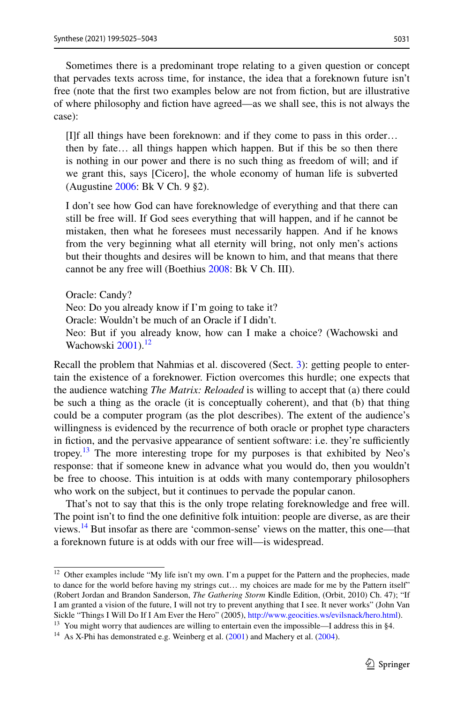Sometimes there is a predominant trope relating to a given question or concept that pervades texts across time, for instance, the idea that a foreknown future isn't free (note that the first two examples below are not from fiction, but are illustrative of where philosophy and fction have agreed—as we shall see, this is not always the case):

[I]f all things have been foreknown: and if they come to pass in this order… then by fate… all things happen which happen. But if this be so then there is nothing in our power and there is no such thing as freedom of will; and if we grant this, says [Cicero], the whole economy of human life is subverted (Augustine [2006](#page-17-12): Bk V Ch. 9 §2).

I don't see how God can have foreknowledge of everything and that there can still be free will. If God sees everything that will happen, and if he cannot be mistaken, then what he foresees must necessarily happen. And if he knows from the very beginning what all eternity will bring, not only men's actions but their thoughts and desires will be known to him, and that means that there cannot be any free will (Boethius [2008:](#page-17-13) Bk V Ch. III).

Oracle: Candy? Neo: Do you already know if I'm going to take it? Oracle: Wouldn't be much of an Oracle if I didn't. Neo: But if you already know, how can I make a choice? (Wachowski and Wachowski [2001\)](#page-18-15).<sup>[12](#page-6-0)</sup>

Recall the problem that Nahmias et al. discovered (Sect. [3\)](#page-2-0): getting people to entertain the existence of a foreknower. Fiction overcomes this hurdle; one expects that the audience watching *The Matrix: Reloaded* is willing to accept that (a) there could be such a thing as the oracle (it is conceptually coherent), and that (b) that thing could be a computer program (as the plot describes). The extent of the audience's willingness is evidenced by the recurrence of both oracle or prophet type characters in fiction, and the pervasive appearance of sentient software: i.e. they're sufficiently tropey.<sup>13</sup> The more interesting trope for my purposes is that exhibited by Neo's response: that if someone knew in advance what you would do, then you wouldn't be free to choose. This intuition is at odds with many contemporary philosophers who work on the subject, but it continues to pervade the popular canon.

That's not to say that this is the only trope relating foreknowledge and free will. The point isn't to fnd the one defnitive folk intuition: people are diverse, as are their views[.14](#page-6-2) But insofar as there are 'common-sense' views on the matter, this one—that a foreknown future is at odds with our free will—is widespread.

<span id="page-6-0"></span><sup>&</sup>lt;sup>12</sup> Other examples include "My life isn't my own. I'm a puppet for the Pattern and the prophecies, made to dance for the world before having my strings cut… my choices are made for me by the Pattern itself" (Robert Jordan and Brandon Sanderson, *The Gathering Storm* Kindle Edition, (Orbit, 2010) Ch. 47); "If I am granted a vision of the future, I will not try to prevent anything that I see. It never works" (John Van Sickle "Things I Will Do If I Am Ever the Hero" (2005), [http://www.geocities.ws/evilsnack/hero.html\)](http://www.geocities.ws/evilsnack/hero.html).

<span id="page-6-1"></span><sup>&</sup>lt;sup>13</sup> You might worry that audiences are willing to entertain even the impossible—I address this in §4.

<span id="page-6-2"></span> $14$  As X-Phi has demonstrated e.g. Weinberg et al. ([2001\)](#page-18-16) and Machery et al. [\(2004](#page-18-17)).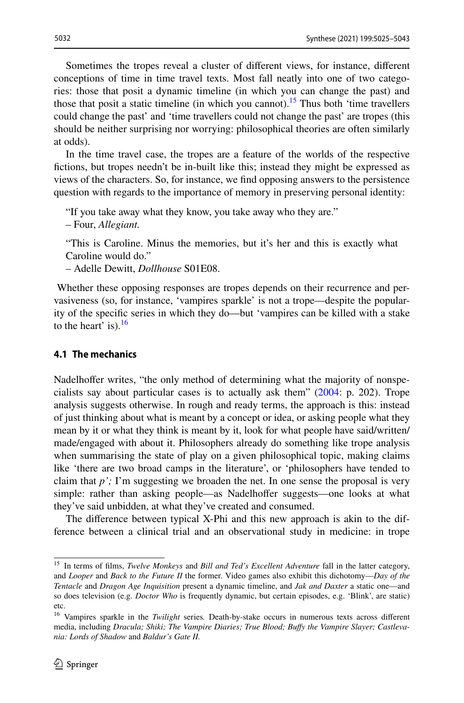Sometimes the tropes reveal a cluster of diferent views, for instance, diferent conceptions of time in time travel texts. Most fall neatly into one of two categories: those that posit a dynamic timeline (in which you can change the past) and those that posit a static timeline (in which you cannot).<sup>[15](#page-7-1)</sup> Thus both 'time travellers could change the past' and 'time travellers could not change the past' are tropes (this should be neither surprising nor worrying: philosophical theories are often similarly at odds).

In the time travel case, the tropes are a feature of the worlds of the respective fctions, but tropes needn't be in-built like this; instead they might be expressed as views of the characters. So, for instance, we fnd opposing answers to the persistence question with regards to the importance of memory in preserving personal identity:

"If you take away what they know, you take away who they are."

– Four, *Allegiant.*

"This is Caroline. Minus the memories, but it's her and this is exactly what Caroline would do."

– Adelle Dewitt, *Dollhouse* S01E08.

 Whether these opposing responses are tropes depends on their recurrence and pervasiveness (so, for instance, 'vampires sparkle' is not a trope—despite the popularity of the specifc series in which they do—but 'vampires can be killed with a stake to the heart' is). $^{16}$  $^{16}$  $^{16}$ 

#### <span id="page-7-0"></span>**4.1 The mechanics**

Nadelhofer writes, "the only method of determining what the majority of nonspecialists say about particular cases is to actually ask them" [\(2004](#page-18-2): p. 202). Trope analysis suggests otherwise. In rough and ready terms, the approach is this: instead of just thinking about what is meant by a concept or idea, or asking people what they mean by it or what they think is meant by it, look for what people have said/written/ made/engaged with about it. Philosophers already do something like trope analysis when summarising the state of play on a given philosophical topic, making claims like 'there are two broad camps in the literature', or 'philosophers have tended to claim that *p';* I'm suggesting we broaden the net. In one sense the proposal is very simple: rather than asking people—as Nadelhofer suggests—one looks at what they've said unbidden, at what they've created and consumed.

The diference between typical X-Phi and this new approach is akin to the difference between a clinical trial and an observational study in medicine: in trope

<span id="page-7-1"></span><sup>15</sup> In terms of flms, *Twelve Monkeys* and *Bill and Ted's Excellent Adventure* fall in the latter category, and *Looper* and *Back to the Future II* the former. Video games also exhibit this dichotomy—*Day of the Tentacle* and *Dragon Age Inquisition* present a dynamic timeline, and *Jak and Daxter* a static one—and so does television (e.g. *Doctor Who* is frequently dynamic, but certain episodes, e.g. 'Blink', are static) etc.

<span id="page-7-2"></span><sup>16</sup> Vampires sparkle in the *Twilight* series*.* Death-by-stake occurs in numerous texts across diferent media, including *Dracula; Shiki; The Vampire Diaries; True Blood; Bufy the Vampire Slayer; Castlevania: Lords of Shadow* and *Baldur's Gate II.*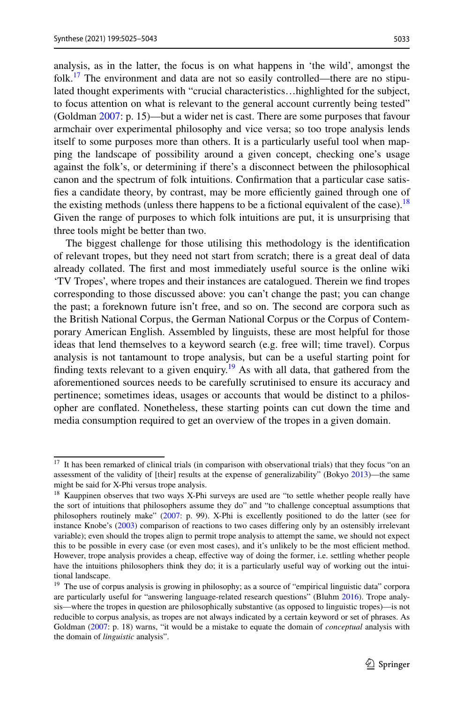5033

analysis, as in the latter, the focus is on what happens in 'the wild', amongst the folk.<sup>[17](#page-8-0)</sup> The environment and data are not so easily controlled—there are no stipulated thought experiments with "crucial characteristics…highlighted for the subject, to focus attention on what is relevant to the general account currently being tested" (Goldman [2007:](#page-17-5) p. 15)—but a wider net is cast. There are some purposes that favour armchair over experimental philosophy and vice versa; so too trope analysis lends itself to some purposes more than others. It is a particularly useful tool when mapping the landscape of possibility around a given concept, checking one's usage against the folk's, or determining if there's a disconnect between the philosophical canon and the spectrum of folk intuitions. Confrmation that a particular case satisfies a candidate theory, by contrast, may be more efficiently gained through one of the existing methods (unless there happens to be a fictional equivalent of the case).<sup>18</sup> Given the range of purposes to which folk intuitions are put, it is unsurprising that three tools might be better than two.

The biggest challenge for those utilising this methodology is the identifcation of relevant tropes, but they need not start from scratch; there is a great deal of data already collated. The frst and most immediately useful source is the online wiki 'TV Tropes', where tropes and their instances are catalogued. Therein we fnd tropes corresponding to those discussed above: you can't change the past; you can change the past; a foreknown future isn't free, and so on. The second are corpora such as the British National Corpus, the German National Corpus or the Corpus of Contemporary American English. Assembled by linguists, these are most helpful for those ideas that lend themselves to a keyword search (e.g. free will; time travel). Corpus analysis is not tantamount to trope analysis, but can be a useful starting point for finding texts relevant to a given enquiry.<sup>19</sup> As with all data, that gathered from the aforementioned sources needs to be carefully scrutinised to ensure its accuracy and pertinence; sometimes ideas, usages or accounts that would be distinct to a philosopher are confated. Nonetheless, these starting points can cut down the time and media consumption required to get an overview of the tropes in a given domain.

<span id="page-8-0"></span><sup>&</sup>lt;sup>17</sup> It has been remarked of clinical trials (in comparison with observational trials) that they focus "on an assessment of the validity of [their] results at the expense of generalizability" (Bokyo [2013\)](#page-17-16)—the same might be said for X-Phi versus trope analysis.

<span id="page-8-1"></span><sup>&</sup>lt;sup>18</sup> Kauppinen observes that two ways X-Phi surveys are used are "to settle whether people really have the sort of intuitions that philosophers assume they do" and "to challenge conceptual assumptions that philosophers routinely make" ([2007:](#page-17-11) p. 99). X-Phi is excellently positioned to do the latter (see for instance Knobe's ([2003\)](#page-17-14) comparison of reactions to two cases difering only by an ostensibly irrelevant variable); even should the tropes align to permit trope analysis to attempt the same, we should not expect this to be possible in every case (or even most cases), and it's unlikely to be the most efficient method. However, trope analysis provides a cheap, efective way of doing the former, i.e. settling whether people have the intuitions philosophers think they do; it is a particularly useful way of working out the intuitional landscape.

<span id="page-8-2"></span><sup>&</sup>lt;sup>19</sup> The use of corpus analysis is growing in philosophy; as a source of "empirical linguistic data" corpora are particularly useful for "answering language-related research questions" (Bluhm [2016\)](#page-17-15). Trope analysis—where the tropes in question are philosophically substantive (as opposed to linguistic tropes)—is not reducible to corpus analysis, as tropes are not always indicated by a certain keyword or set of phrases. As Goldman ([2007:](#page-17-5) p. 18) warns, "it would be a mistake to equate the domain of *conceptual* analysis with the domain of *linguistic* analysis".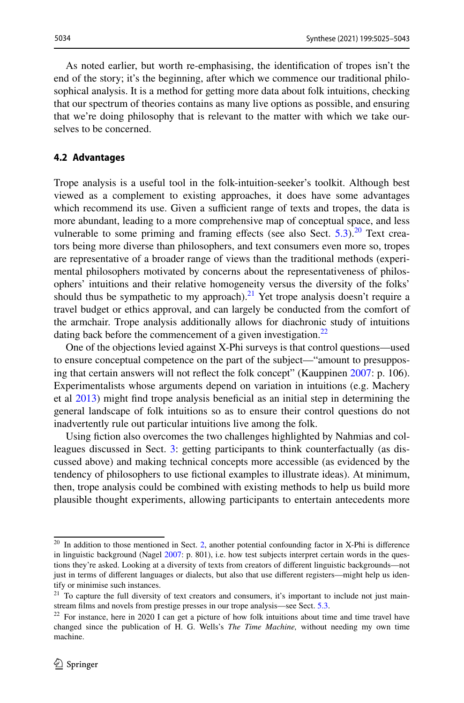As noted earlier, but worth re-emphasising, the identifcation of tropes isn't the end of the story; it's the beginning, after which we commence our traditional philosophical analysis. It is a method for getting more data about folk intuitions, checking that our spectrum of theories contains as many live options as possible, and ensuring that we're doing philosophy that is relevant to the matter with which we take ourselves to be concerned.

#### <span id="page-9-0"></span>**4.2 Advantages**

Trope analysis is a useful tool in the folk-intuition-seeker's toolkit. Although best viewed as a complement to existing approaches, it does have some advantages which recommend its use. Given a sufficient range of texts and tropes, the data is more abundant, leading to a more comprehensive map of conceptual space, and less vulnerable to some priming and framing effects (see also Sect.  $5.3$ ).<sup>20</sup> Text creators being more diverse than philosophers, and text consumers even more so, tropes are representative of a broader range of views than the traditional methods (experimental philosophers motivated by concerns about the representativeness of philosophers' intuitions and their relative homogeneity versus the diversity of the folks' should thus be sympathetic to my approach).<sup>21</sup> Yet trope analysis doesn't require a travel budget or ethics approval, and can largely be conducted from the comfort of the armchair. Trope analysis additionally allows for diachronic study of intuitions dating back before the commencement of a given investigation.<sup>[22](#page-9-3)</sup>

One of the objections levied against X-Phi surveys is that control questions—used to ensure conceptual competence on the part of the subject—"amount to presupposing that certain answers will not refect the folk concept" (Kauppinen [2007:](#page-17-11) p. 106). Experimentalists whose arguments depend on variation in intuitions (e.g. Machery et al [2013\)](#page-18-6) might fnd trope analysis benefcial as an initial step in determining the general landscape of folk intuitions so as to ensure their control questions do not inadvertently rule out particular intuitions live among the folk.

Using fction also overcomes the two challenges highlighted by Nahmias and colleagues discussed in Sect. [3](#page-2-0): getting participants to think counterfactually (as discussed above) and making technical concepts more accessible (as evidenced by the tendency of philosophers to use fctional examples to illustrate ideas). At minimum, then, trope analysis could be combined with existing methods to help us build more plausible thought experiments, allowing participants to entertain antecedents more

<span id="page-9-1"></span><sup>&</sup>lt;sup>20</sup> In addition to those mentioned in Sect. [2,](#page-1-0) another potential confounding factor in X-Phi is difference in linguistic background (Nagel [2007:](#page-18-5) p. 801), i.e. how test subjects interpret certain words in the questions they're asked. Looking at a diversity of texts from creators of diferent linguistic backgrounds—not just in terms of diferent languages or dialects, but also that use diferent registers—might help us identify or minimise such instances.

<span id="page-9-2"></span><sup>&</sup>lt;sup>21</sup> To capture the full diversity of text creators and consumers, it's important to include not just mainstream flms and novels from prestige presses in our trope analysis—see Sect. [5.3.](#page-15-0)

<span id="page-9-3"></span> $22$  For instance, here in 2020 I can get a picture of how folk intuitions about time and time travel have changed since the publication of H. G. Wells's *The Time Machine,* without needing my own time machine.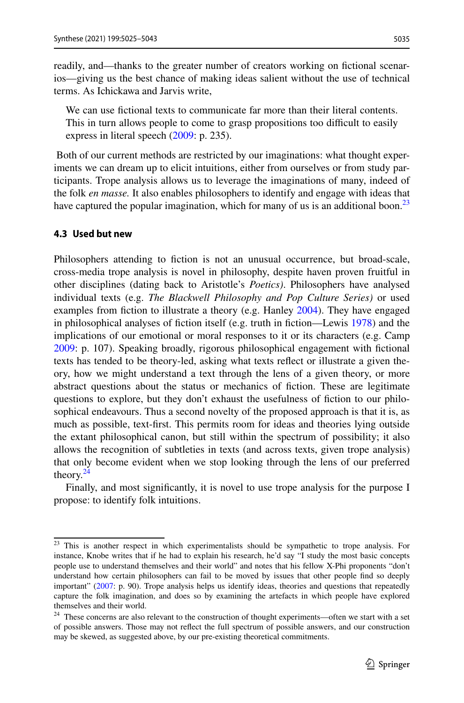readily, and—thanks to the greater number of creators working on fctional scenarios—giving us the best chance of making ideas salient without the use of technical terms. As Ichickawa and Jarvis write,

We can use fictional texts to communicate far more than their literal contents. This in turn allows people to come to grasp propositions too difficult to easily express in literal speech ([2009:](#page-17-17) p. 235).

 Both of our current methods are restricted by our imaginations: what thought experiments we can dream up to elicit intuitions, either from ourselves or from study participants. Trope analysis allows us to leverage the imaginations of many, indeed of the folk *en masse.* It also enables philosophers to identify and engage with ideas that have captured the popular imagination, which for many of us is an additional boon.<sup>23</sup>

#### <span id="page-10-0"></span>**4.3 Used but new**

Philosophers attending to fiction is not an unusual occurrence, but broad-scale, cross-media trope analysis is novel in philosophy, despite haven proven fruitful in other disciplines (dating back to Aristotle's *Poetics)*. Philosophers have analysed individual texts (e.g. *The Blackwell Philosophy and Pop Culture Series)* or used examples from fiction to illustrate a theory (e.g. Hanley [2004](#page-17-18)). They have engaged in philosophical analyses of fction itself (e.g. truth in fction—Lewis [1978\)](#page-18-18) and the implications of our emotional or moral responses to it or its characters (e.g. Camp [2009](#page-17-19): p. 107). Speaking broadly, rigorous philosophical engagement with fctional texts has tended to be theory-led, asking what texts refect or illustrate a given theory, how we might understand a text through the lens of a given theory, or more abstract questions about the status or mechanics of fction. These are legitimate questions to explore, but they don't exhaust the usefulness of fction to our philosophical endeavours. Thus a second novelty of the proposed approach is that it is, as much as possible, text-frst. This permits room for ideas and theories lying outside the extant philosophical canon, but still within the spectrum of possibility; it also allows the recognition of subtleties in texts (and across texts, given trope analysis) that only become evident when we stop looking through the lens of our preferred theory. $^{24}$  $^{24}$  $^{24}$ 

Finally, and most signifcantly, it is novel to use trope analysis for the purpose I propose: to identify folk intuitions.

<span id="page-10-1"></span><sup>&</sup>lt;sup>23</sup> This is another respect in which experimentalists should be sympathetic to trope analysis. For instance, Knobe writes that if he had to explain his research, he'd say "I study the most basic concepts people use to understand themselves and their world" and notes that his fellow X-Phi proponents "don't understand how certain philosophers can fail to be moved by issues that other people fnd so deeply important" [\(2007](#page-18-5): p. 90). Trope analysis helps us identify ideas, theories and questions that repeatedly capture the folk imagination, and does so by examining the artefacts in which people have explored themselves and their world.

<span id="page-10-2"></span><sup>&</sup>lt;sup>24</sup> These concerns are also relevant to the construction of thought experiments—often we start with a set of possible answers. Those may not refect the full spectrum of possible answers, and our construction may be skewed, as suggested above, by our pre-existing theoretical commitments.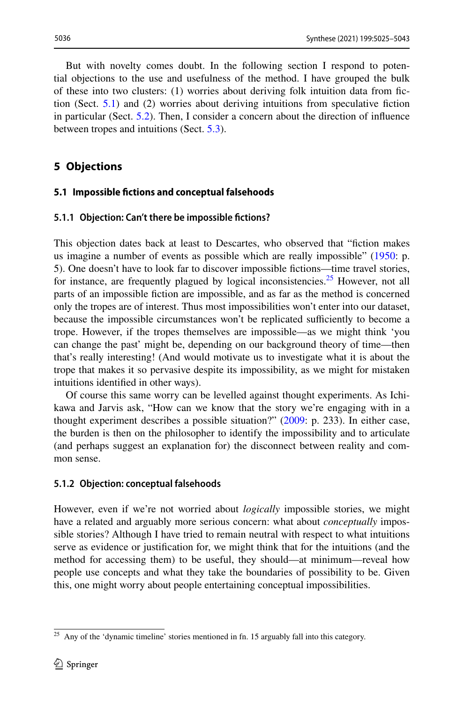But with novelty comes doubt. In the following section I respond to potential objections to the use and usefulness of the method. I have grouped the bulk of these into two clusters: (1) worries about deriving folk intuition data from fction (Sect. [5.1](#page-11-1)) and (2) worries about deriving intuitions from speculative fction in particular (Sect. [5.2\)](#page-13-0). Then, I consider a concern about the direction of infuence between tropes and intuitions (Sect. [5.3\)](#page-15-0).

# <span id="page-11-0"></span>**5 Objections**

#### <span id="page-11-1"></span>**5.1 Impossible fctions and conceptual falsehoods**

#### **5.1.1 Objection: Can't there be impossible fctions?**

This objection dates back at least to Descartes, who observed that "fction makes us imagine a number of events as possible which are really impossible" ([1950:](#page-17-20) p. 5). One doesn't have to look far to discover impossible fctions—time travel stories, for instance, are frequently plagued by logical inconsistencies.<sup>25</sup> However, not all parts of an impossible fction are impossible, and as far as the method is concerned only the tropes are of interest. Thus most impossibilities won't enter into our dataset, because the impossible circumstances won't be replicated sufficiently to become a trope. However, if the tropes themselves are impossible—as we might think 'you can change the past' might be, depending on our background theory of time—then that's really interesting! (And would motivate us to investigate what it is about the trope that makes it so pervasive despite its impossibility, as we might for mistaken intuitions identifed in other ways).

Of course this same worry can be levelled against thought experiments. As Ichikawa and Jarvis ask, "How can we know that the story we're engaging with in a thought experiment describes a possible situation?" ([2009:](#page-17-17) p. 233). In either case, the burden is then on the philosopher to identify the impossibility and to articulate (and perhaps suggest an explanation for) the disconnect between reality and common sense.

#### **5.1.2 Objection: conceptual falsehoods**

However, even if we're not worried about *logically* impossible stories, we might have a related and arguably more serious concern: what about *conceptually* impossible stories? Although I have tried to remain neutral with respect to what intuitions serve as evidence or justifcation for, we might think that for the intuitions (and the method for accessing them) to be useful, they should—at minimum—reveal how people use concepts and what they take the boundaries of possibility to be. Given this, one might worry about people entertaining conceptual impossibilities.

<span id="page-11-2"></span> $25$  Any of the 'dynamic timeline' stories mentioned in fn. 15 arguably fall into this category.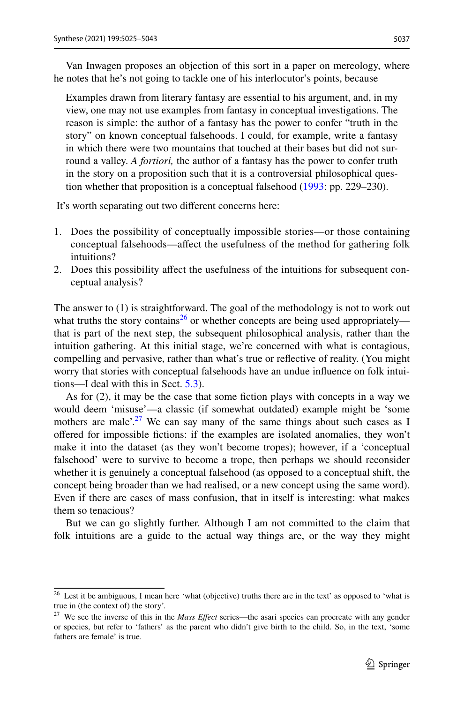Van Inwagen proposes an objection of this sort in a paper on mereology, where he notes that he's not going to tackle one of his interlocutor's points, because

Examples drawn from literary fantasy are essential to his argument, and, in my view, one may not use examples from fantasy in conceptual investigations. The reason is simple: the author of a fantasy has the power to confer "truth in the story" on known conceptual falsehoods. I could, for example, write a fantasy in which there were two mountains that touched at their bases but did not surround a valley. *A fortiori,* the author of a fantasy has the power to confer truth in the story on a proposition such that it is a controversial philosophical question whether that proposition is a conceptual falsehood [\(1993](#page-18-19): pp. 229–230).

It's worth separating out two diferent concerns here:

- 1. Does the possibility of conceptually impossible stories—or those containing conceptual falsehoods—afect the usefulness of the method for gathering folk intuitions?
- 2. Does this possibility afect the usefulness of the intuitions for subsequent conceptual analysis?

The answer to (1) is straightforward. The goal of the methodology is not to work out what truths the story contains<sup>26</sup> or whether concepts are being used appropriately that is part of the next step, the subsequent philosophical analysis, rather than the intuition gathering. At this initial stage, we're concerned with what is contagious, compelling and pervasive, rather than what's true or refective of reality. (You might worry that stories with conceptual falsehoods have an undue infuence on folk intuitions—I deal with this in Sect. [5.3\)](#page-15-0).

As for (2), it may be the case that some fction plays with concepts in a way we would deem 'misuse'—a classic (if somewhat outdated) example might be 'some mothers are male'.<sup>27</sup> We can say many of the same things about such cases as I offered for impossible fictions: if the examples are isolated anomalies, they won't make it into the dataset (as they won't become tropes); however, if a 'conceptual falsehood' were to survive to become a trope, then perhaps we should reconsider whether it is genuinely a conceptual falsehood (as opposed to a conceptual shift, the concept being broader than we had realised, or a new concept using the same word). Even if there are cases of mass confusion, that in itself is interesting: what makes them so tenacious?

But we can go slightly further. Although I am not committed to the claim that folk intuitions are a guide to the actual way things are, or the way they might

<span id="page-12-0"></span><sup>&</sup>lt;sup>26</sup> Lest it be ambiguous, I mean here 'what (objective) truths there are in the text' as opposed to 'what is true in (the context of) the story'.

<span id="page-12-1"></span><sup>27</sup> We see the inverse of this in the *Mass Efect* series—the asari species can procreate with any gender or species, but refer to 'fathers' as the parent who didn't give birth to the child. So, in the text, 'some fathers are female' is true.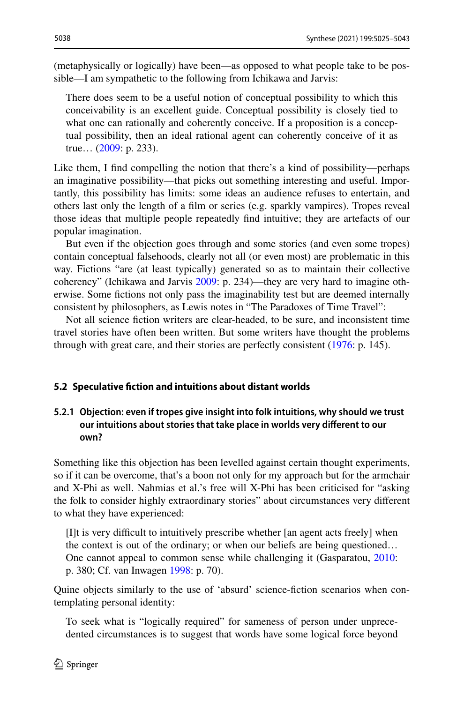(metaphysically or logically) have been—as opposed to what people take to be possible—I am sympathetic to the following from Ichikawa and Jarvis:

There does seem to be a useful notion of conceptual possibility to which this conceivability is an excellent guide. Conceptual possibility is closely tied to what one can rationally and coherently conceive. If a proposition is a conceptual possibility, then an ideal rational agent can coherently conceive of it as true… ([2009:](#page-17-17) p. 233).

Like them, I find compelling the notion that there's a kind of possibility—perhaps an imaginative possibility—that picks out something interesting and useful. Importantly, this possibility has limits: some ideas an audience refuses to entertain, and others last only the length of a flm or series (e.g. sparkly vampires). Tropes reveal those ideas that multiple people repeatedly fnd intuitive; they are artefacts of our popular imagination.

But even if the objection goes through and some stories (and even some tropes) contain conceptual falsehoods, clearly not all (or even most) are problematic in this way. Fictions "are (at least typically) generated so as to maintain their collective coherency" (Ichikawa and Jarvis [2009](#page-17-17): p. 234)—they are very hard to imagine otherwise. Some fctions not only pass the imaginability test but are deemed internally consistent by philosophers, as Lewis notes in "The Paradoxes of Time Travel":

Not all science fction writers are clear-headed, to be sure, and inconsistent time travel stories have often been written. But some writers have thought the problems through with great care, and their stories are perfectly consistent ([1976:](#page-18-20) p. 145).

#### <span id="page-13-0"></span>**5.2 Speculative fction and intuitions about distant worlds**

### **5.2.1 Objection: even if tropes give insight into folk intuitions, why should we trust our intuitions about stories that take place in worlds very diferent to our own?**

Something like this objection has been levelled against certain thought experiments, so if it can be overcome, that's a boon not only for my approach but for the armchair and X-Phi as well. Nahmias et al.'s free will X-Phi has been criticised for "asking the folk to consider highly extraordinary stories" about circumstances very diferent to what they have experienced:

[I]t is very difficult to intuitively prescribe whether [an agent acts freely] when the context is out of the ordinary; or when our beliefs are being questioned… One cannot appeal to common sense while challenging it (Gasparatou, [2010](#page-17-21): p. 380; Cf. van Inwagen [1998:](#page-18-21) p. 70).

Quine objects similarly to the use of 'absurd' science-fction scenarios when contemplating personal identity:

To seek what is "logically required" for sameness of person under unprecedented circumstances is to suggest that words have some logical force beyond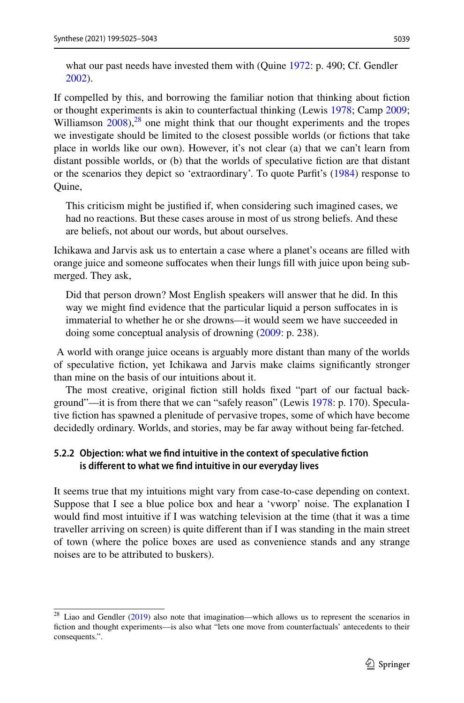If compelled by this, and borrowing the familiar notion that thinking about fction or thought experiments is akin to counterfactual thinking (Lewis [1978](#page-18-18); Camp [2009;](#page-17-19) Williamson  $2008$ ,<sup>[28](#page-14-0)</sup> one might think that our thought experiments and the tropes we investigate should be limited to the closest possible worlds (or fctions that take place in worlds like our own). However, it's not clear (a) that we can't learn from distant possible worlds, or (b) that the worlds of speculative fction are that distant or the scenarios they depict so 'extraordinary'. To quote Parft's [\(1984](#page-18-24)) response to Quine,

This criticism might be justifed if, when considering such imagined cases, we had no reactions. But these cases arouse in most of us strong beliefs. And these are beliefs, not about our words, but about ourselves.

Ichikawa and Jarvis ask us to entertain a case where a planet's oceans are flled with orange juice and someone sufocates when their lungs fll with juice upon being submerged. They ask,

Did that person drown? Most English speakers will answer that he did. In this way we might fnd evidence that the particular liquid a person sufocates in is immaterial to whether he or she drowns—it would seem we have succeeded in doing some conceptual analysis of drowning [\(2009](#page-17-17): p. 238).

 A world with orange juice oceans is arguably more distant than many of the worlds of speculative fction, yet Ichikawa and Jarvis make claims signifcantly stronger than mine on the basis of our intuitions about it.

The most creative, original fiction still holds fixed "part of our factual background"—it is from there that we can "safely reason" (Lewis [1978](#page-18-18): p. 170). Speculative fction has spawned a plenitude of pervasive tropes, some of which have become decidedly ordinary. Worlds, and stories, may be far away without being far-fetched.

# **5.2.2 Objection: what we fnd intuitive in the context of speculative fction is diferent to what we fnd intuitive in our everyday lives**

It seems true that my intuitions might vary from case-to-case depending on context. Suppose that I see a blue police box and hear a 'vworp' noise. The explanation I would fnd most intuitive if I was watching television at the time (that it was a time traveller arriving on screen) is quite diferent than if I was standing in the main street of town (where the police boxes are used as convenience stands and any strange noises are to be attributed to buskers).

<span id="page-14-0"></span><sup>&</sup>lt;sup>28</sup> Liao and Gendler [\(2019](#page-18-13)) also note that imagination—which allows us to represent the scenarios in fction and thought experiments—is also what "lets one move from counterfactuals' antecedents to their consequents.".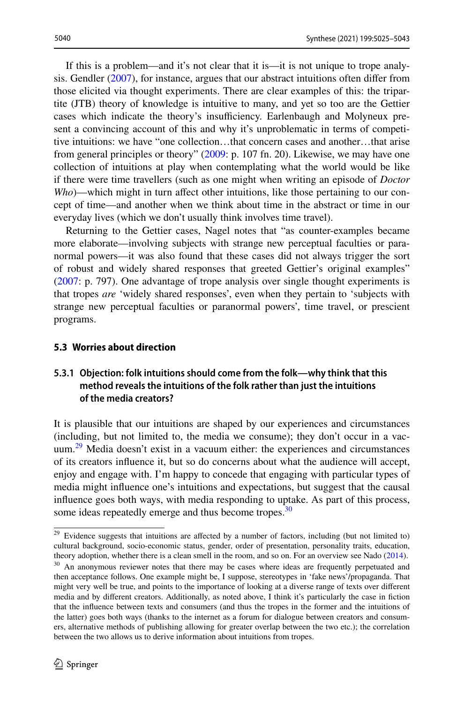If this is a problem—and it's not clear that it is—it is not unique to trope analysis. Gendler ([2007\)](#page-17-23), for instance, argues that our abstract intuitions often difer from those elicited via thought experiments. There are clear examples of this: the tripartite (JTB) theory of knowledge is intuitive to many, and yet so too are the Gettier cases which indicate the theory's insufficiency. Earlenbaugh and Molyneux present a convincing account of this and why it's unproblematic in terms of competitive intuitions: we have "one collection…that concern cases and another…that arise from general principles or theory" ([2009:](#page-17-4) p. 107 fn. 20). Likewise, we may have one collection of intuitions at play when contemplating what the world would be like if there were time travellers (such as one might when writing an episode of *Doctor Who*)—which might in turn affect other intuitions, like those pertaining to our concept of time—and another when we think about time in the abstract or time in our everyday lives (which we don't usually think involves time travel).

Returning to the Gettier cases, Nagel notes that "as counter-examples became more elaborate—involving subjects with strange new perceptual faculties or paranormal powers—it was also found that these cases did not always trigger the sort of robust and widely shared responses that greeted Gettier's original examples" [\(2007](#page-18-5): p. 797). One advantage of trope analysis over single thought experiments is that tropes *are* 'widely shared responses', even when they pertain to 'subjects with strange new perceptual faculties or paranormal powers', time travel, or prescient programs.

#### <span id="page-15-0"></span>**5.3 Worries about direction**

# **5.3.1 Objection: folk intuitions should come from the folk—why think that this method reveals the intuitions of the folk rather than just the intuitions of the media creators?**

It is plausible that our intuitions are shaped by our experiences and circumstances (including, but not limited to, the media we consume); they don't occur in a vac-uum.<sup>[29](#page-15-1)</sup> Media doesn't exist in a vacuum either: the experiences and circumstances of its creators infuence it, but so do concerns about what the audience will accept, enjoy and engage with. I'm happy to concede that engaging with particular types of media might infuence one's intuitions and expectations, but suggest that the causal infuence goes both ways, with media responding to uptake. As part of this process, some ideas repeatedly emerge and thus become tropes.<sup>[30](#page-15-2)</sup>

<span id="page-15-2"></span><span id="page-15-1"></span><sup>&</sup>lt;sup>29</sup> Evidence suggests that intuitions are affected by a number of factors, including (but not limited to) cultural background, socio-economic status, gender, order of presentation, personality traits, education, theory adoption, whether there is a clean smell in the room, and so on. For an overview see Nado [\(2014](#page-18-3)). <sup>30</sup> An anonymous reviewer notes that there may be cases where ideas are frequently perpetuated and then acceptance follows. One example might be, I suppose, stereotypes in 'fake news'/propaganda. That might very well be true, and points to the importance of looking at a diverse range of texts over diferent media and by diferent creators. Additionally, as noted above, I think it's particularly the case in fction that the infuence between texts and consumers (and thus the tropes in the former and the intuitions of the latter) goes both ways (thanks to the internet as a forum for dialogue between creators and consumers, alternative methods of publishing allowing for greater overlap between the two etc.); the correlation between the two allows us to derive information about intuitions from tropes.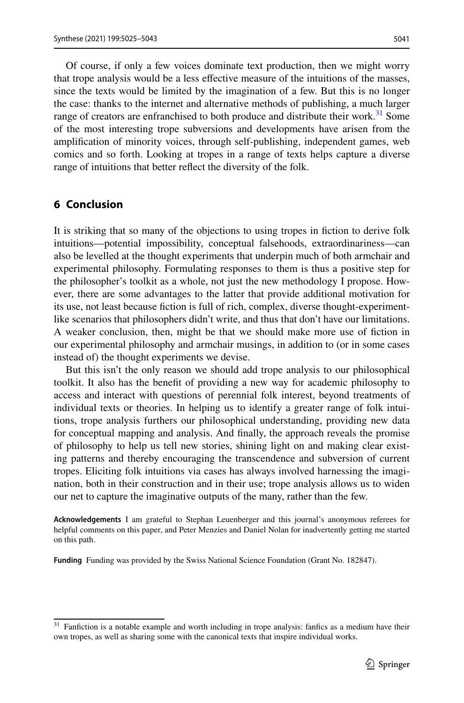Of course, if only a few voices dominate text production, then we might worry that trope analysis would be a less efective measure of the intuitions of the masses, since the texts would be limited by the imagination of a few. But this is no longer the case: thanks to the internet and alternative methods of publishing, a much larger range of creators are enfranchised to both produce and distribute their work.<sup>31</sup> Some of the most interesting trope subversions and developments have arisen from the amplifcation of minority voices, through self-publishing, independent games, web comics and so forth. Looking at tropes in a range of texts helps capture a diverse range of intuitions that better refect the diversity of the folk.

# **6 Conclusion**

It is striking that so many of the objections to using tropes in fiction to derive folk intuitions—potential impossibility, conceptual falsehoods, extraordinariness—can also be levelled at the thought experiments that underpin much of both armchair and experimental philosophy. Formulating responses to them is thus a positive step for the philosopher's toolkit as a whole, not just the new methodology I propose. However, there are some advantages to the latter that provide additional motivation for its use, not least because fction is full of rich, complex, diverse thought-experimentlike scenarios that philosophers didn't write, and thus that don't have our limitations. A weaker conclusion, then, might be that we should make more use of fction in our experimental philosophy and armchair musings, in addition to (or in some cases instead of) the thought experiments we devise.

But this isn't the only reason we should add trope analysis to our philosophical toolkit. It also has the beneft of providing a new way for academic philosophy to access and interact with questions of perennial folk interest, beyond treatments of individual texts or theories. In helping us to identify a greater range of folk intuitions, trope analysis furthers our philosophical understanding, providing new data for conceptual mapping and analysis. And fnally, the approach reveals the promise of philosophy to help us tell new stories, shining light on and making clear existing patterns and thereby encouraging the transcendence and subversion of current tropes. Eliciting folk intuitions via cases has always involved harnessing the imagination, both in their construction and in their use; trope analysis allows us to widen our net to capture the imaginative outputs of the many, rather than the few.

**Acknowledgements** I am grateful to Stephan Leuenberger and this journal's anonymous referees for helpful comments on this paper, and Peter Menzies and Daniel Nolan for inadvertently getting me started on this path.

**Funding** Funding was provided by the Swiss National Science Foundation (Grant No. 182847).

<span id="page-16-0"></span><sup>&</sup>lt;sup>31</sup> Fanfiction is a notable example and worth including in trope analysis: fanfics as a medium have their own tropes, as well as sharing some with the canonical texts that inspire individual works.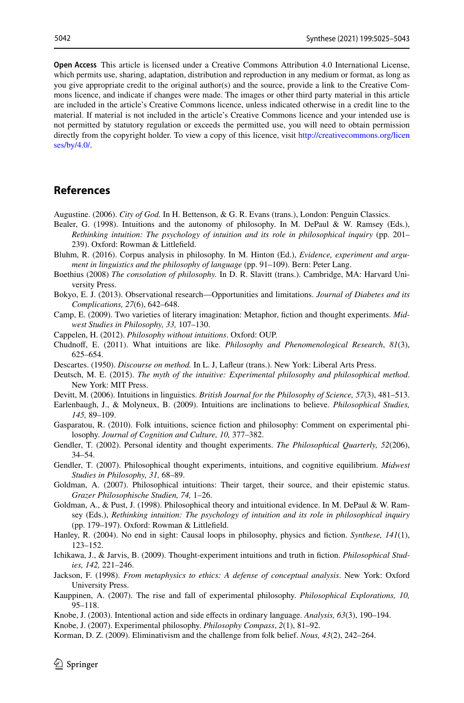**Open Access** This article is licensed under a Creative Commons Attribution 4.0 International License, which permits use, sharing, adaptation, distribution and reproduction in any medium or format, as long as you give appropriate credit to the original author(s) and the source, provide a link to the Creative Commons licence, and indicate if changes were made. The images or other third party material in this article are included in the article's Creative Commons licence, unless indicated otherwise in a credit line to the material. If material is not included in the article's Creative Commons licence and your intended use is not permitted by statutory regulation or exceeds the permitted use, you will need to obtain permission directly from the copyright holder. To view a copy of this licence, visit [http://creativecommons.org/licen](http://creativecommons.org/licenses/by/4.0/) [ses/by/4.0/](http://creativecommons.org/licenses/by/4.0/).

### **References**

<span id="page-17-12"></span>Augustine. (2006). *City of God.* In H. Bettenson, & G. R. Evans (trans.), London: Penguin Classics.

- <span id="page-17-8"></span>Bealer, G. (1998). Intuitions and the autonomy of philosophy. In M. DePaul & W. Ramsey (Eds.), *Rethinking intuition: The psychology of intuition and its role in philosophical inquiry* (pp. 201– 239). Oxford: Rowman & Littlefeld.
- <span id="page-17-15"></span>Bluhm, R. (2016). Corpus analysis in philosophy. In M. Hinton (Ed.), *Evidence, experiment and argument in linguistics and the philosophy of language* (pp. 91–109). Bern: Peter Lang.
- <span id="page-17-13"></span>Boethius (2008) *The consolation of philosophy.* In D. R. Slavitt (trans.). Cambridge, MA: Harvard University Press.
- <span id="page-17-16"></span>Bokyo, E. J. (2013). Observational research—Opportunities and limitations. *Journal of Diabetes and its Complications, 27*(6), 642–648.
- <span id="page-17-19"></span>Camp, E. (2009). Two varieties of literary imagination: Metaphor, fction and thought experiments. *Midwest Studies in Philosophy, 33,* 107–130.
- <span id="page-17-10"></span>Cappelen, H. (2012). *Philosophy without intuitions*. Oxford: OUP.
- <span id="page-17-6"></span>Chudnof, E. (2011). What intuitions are like. *Philosophy and Phenomenological Research*, *81*(3), 625–654.
- <span id="page-17-20"></span>Descartes. (1950). *Discourse on method.* In L. J, Lafeur (trans.). New York: Liberal Arts Press.
- <span id="page-17-9"></span>Deutsch, M. E. (2015). *The myth of the intuitive: Experimental philosophy and philosophical method*. New York: MIT Press.
- <span id="page-17-3"></span>Devitt, M. (2006). Intuitions in linguistics. *British Journal for the Philosophy of Science, 57*(3), 481–513.
- <span id="page-17-4"></span>Earlenbaugh, J., & Molyneux, B. (2009). Intuitions are inclinations to believe. *Philosophical Studies, 145,* 89–109.
- <span id="page-17-21"></span>Gasparatou, R. (2010). Folk intuitions, science fction and philosophy: Comment on experimental philosophy. *Journal of Cognition and Culture, 10,* 377–382.
- <span id="page-17-22"></span>Gendler, T. (2002). Personal identity and thought experiments. *The Philosophical Quarterly, 52*(206), 34–54.
- <span id="page-17-23"></span>Gendler, T. (2007). Philosophical thought experiments, intuitions, and cognitive equilibrium. *Midwest Studies in Philosophy, 31,* 68–89.
- <span id="page-17-5"></span>Goldman, A. (2007). Philosophical intuitions: Their target, their source, and their epistemic status. *Grazer Philosophische Studien, 74,* 1–26.
- <span id="page-17-2"></span>Goldman, A., & Pust, J. (1998). Philosophical theory and intuitional evidence. In M. DePaul & W. Ramsey (Eds.), *Rethinking intuition: The psychology of intuition and its role in philosophical inquiry* (pp. 179–197). Oxford: Rowman & Littlefeld.
- <span id="page-17-18"></span>Hanley, R. (2004). No end in sight: Causal loops in philosophy, physics and fction. *Synthese, 141*(1), 123–152.
- <span id="page-17-17"></span>Ichikawa, J., & Jarvis, B. (2009). Thought-experiment intuitions and truth in fction. *Philosophical Studies, 142,* 221–246.
- <span id="page-17-0"></span>Jackson, F. (1998). *From metaphysics to ethics: A defense of conceptual analysis*. New York: Oxford University Press.
- <span id="page-17-11"></span>Kauppinen, A. (2007). The rise and fall of experimental philosophy. *Philosophical Explorations, 10,* 95–118.
- <span id="page-17-14"></span>Knobe, J. (2003). Intentional action and side efects in ordinary language. *Analysis, 63*(3), 190–194.
- <span id="page-17-7"></span>Knobe, J. (2007). Experimental philosophy. *Philosophy Compass*, *2*(1), 81–92.
- <span id="page-17-1"></span>Korman, D. Z. (2009). Eliminativism and the challenge from folk belief. *Nous, 43*(2), 242–264.